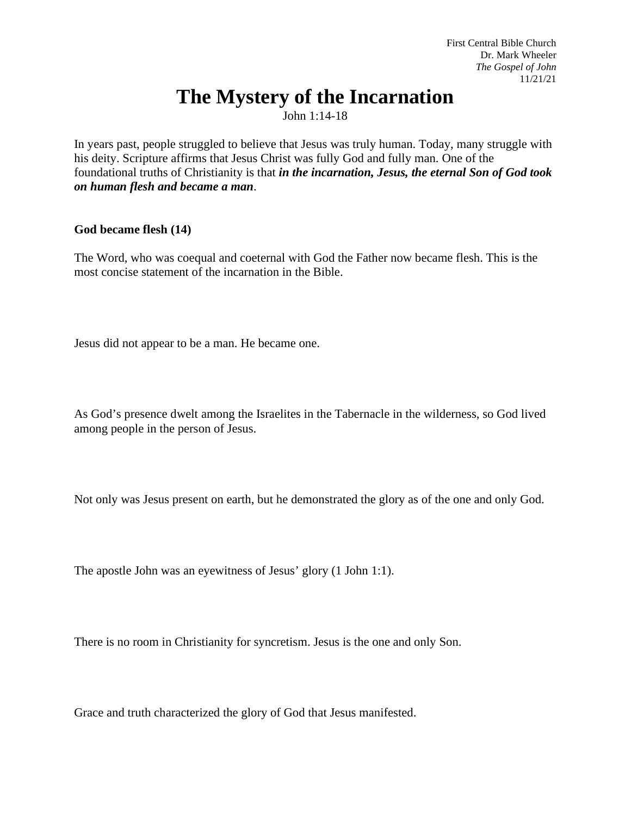First Central Bible Church Dr. Mark Wheeler *The Gospel of John* 11/21/21

# **The Mystery of the Incarnation**

John 1:14-18

In years past, people struggled to believe that Jesus was truly human. Today, many struggle with his deity. Scripture affirms that Jesus Christ was fully God and fully man. One of the foundational truths of Christianity is that *in the incarnation, Jesus, the eternal Son of God took on human flesh and became a man*.

# **God became flesh (14)**

The Word, who was coequal and coeternal with God the Father now became flesh. This is the most concise statement of the incarnation in the Bible.

Jesus did not appear to be a man. He became one.

As God's presence dwelt among the Israelites in the Tabernacle in the wilderness, so God lived among people in the person of Jesus.

Not only was Jesus present on earth, but he demonstrated the glory as of the one and only God.

The apostle John was an eyewitness of Jesus' glory (1 John 1:1).

There is no room in Christianity for syncretism. Jesus is the one and only Son.

Grace and truth characterized the glory of God that Jesus manifested.